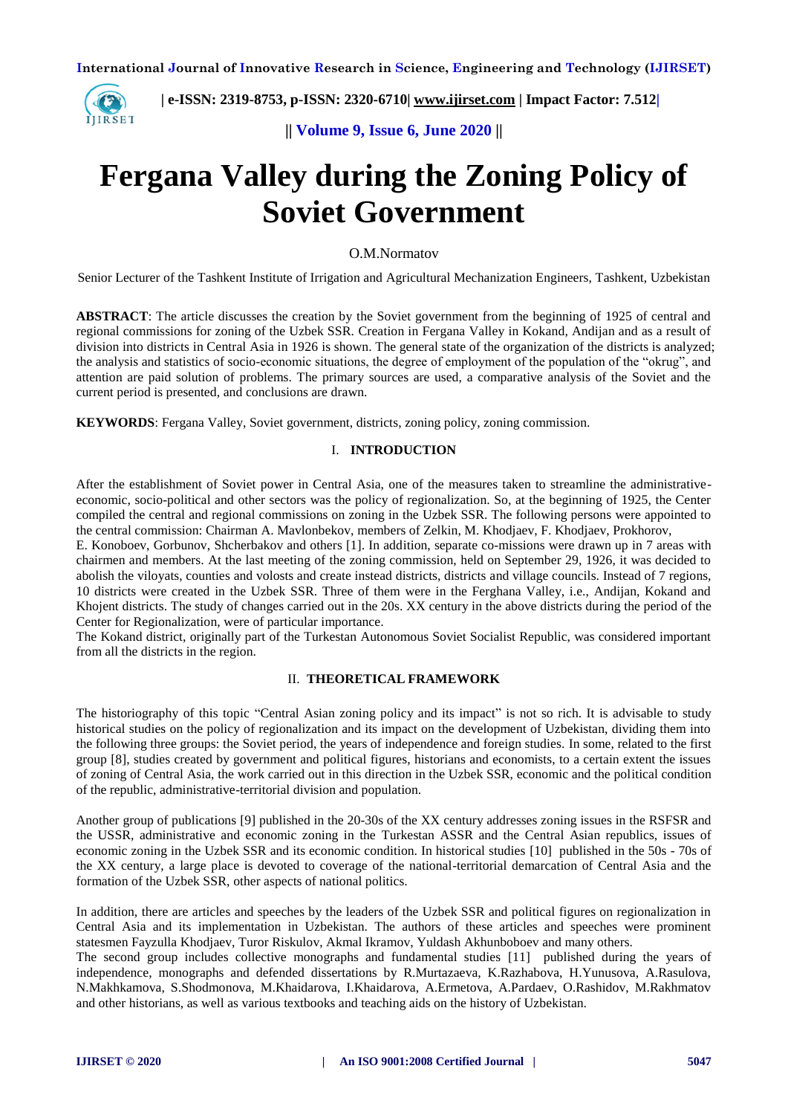

 **| e-ISSN: 2319-8753, p-ISSN: 2320-6710| [www.ijirset.com](http://www.ijirset.com/) | Impact Factor: 7.512|**

**|| Volume 9, Issue 6, June 2020 ||** 

# **Fergana Valley during the Zoning Policy of Soviet Government**

O.M.Normatov

Senior Lecturer of the Tashkent Institute of Irrigation and Agricultural Mechanization Engineers, Tashkent, Uzbekistan

**ABSTRACT**: The article discusses the creation by the Soviet government from the beginning of 1925 of central and regional commissions for zoning of the Uzbek SSR. Creation in Fergana Valley in Kokand, Andijan and as a result of division into districts in Central Asia in 1926 is shown. The general state of the organization of the districts is analyzed; the analysis and statistics of socio-economic situations, the degree of employment of the population of the "okrug", and attention are paid solution of problems. The primary sources are used, a comparative analysis of the Soviet and the current period is presented, and conclusions are drawn.

**KEYWORDS**: Fergana Valley, Soviet government, districts, zoning policy, zoning commission.

#### I. **INTRODUCTION**

After the establishment of Soviet power in Central Asia, one of the measures taken to streamline the administrativeeconomic, socio-political and other sectors was the policy of regionalization. So, at the beginning of 1925, the Center compiled the central and regional commissions on zoning in the Uzbek SSR. The following persons were appointed to the central commission: Chairman A. Mavlonbekov, members of Zelkin, M. Khodjaev, F. Khodjaev, Prokhorov,

E. Konoboev, Gorbunov, Shcherbakov and others [1]. In addition, separate co-missions were drawn up in 7 areas with chairmen and members. At the last meeting of the zoning commission, held on September 29, 1926, it was decided to abolish the viloyats, counties and volosts and create instead districts, districts and village councils. Instead of 7 regions, 10 districts were created in the Uzbek SSR. Three of them were in the Ferghana Valley, i.e., Andijan, Kokand and Khojent districts. The study of changes carried out in the 20s. XX century in the above districts during the period of the Center for Regionalization, were of particular importance.

The Kokand district, originally part of the Turkestan Autonomous Soviet Socialist Republic, was considered important from all the districts in the region.

#### II. **THEORETICAL FRAMEWORK**

The historiography of this topic "Central Asian zoning policy and its impact" is not so rich. It is advisable to study historical studies on the policy of regionalization and its impact on the development of Uzbekistan, dividing them into the following three groups: the Soviet period, the years of independence and foreign studies. In some, related to the first group [8], studies created by government and political figures, historians and economists, to a certain extent the issues of zoning of Central Asia, the work carried out in this direction in the Uzbek SSR, economic and the political condition of the republic, administrative-territorial division and population.

Another group of publications [9] published in the 20-30s of the XX century addresses zoning issues in the RSFSR and the USSR, administrative and economic zoning in the Turkestan ASSR and the Central Asian republics, issues of economic zoning in the Uzbek SSR and its economic condition. In historical studies [10] published in the 50s - 70s of the XX century, a large place is devoted to coverage of the national-territorial demarcation of Central Asia and the formation of the Uzbek SSR, other aspects of national politics.

In addition, there are articles and speeches by the leaders of the Uzbek SSR and political figures on regionalization in Central Asia and its implementation in Uzbekistan. The authors of these articles and speeches were prominent statesmen Fayzulla Khodjaev, Turor Riskulov, Akmal Ikramov, Yuldash Akhunboboev and many others.

The second group includes collective monographs and fundamental studies [11] published during the years of independence, monographs and defended dissertations by R.Murtazaeva, K.Razhabova, H.Yunusova, A.Rasulova, N.Makhkamova, S.Shodmonova, M.Khaidarova, I.Khaidarova, A.Ermetova, A.Pardaev, O.Rashidov, M.Rakhmatov and other historians, as well as various textbooks and teaching aids on the history of Uzbekistan.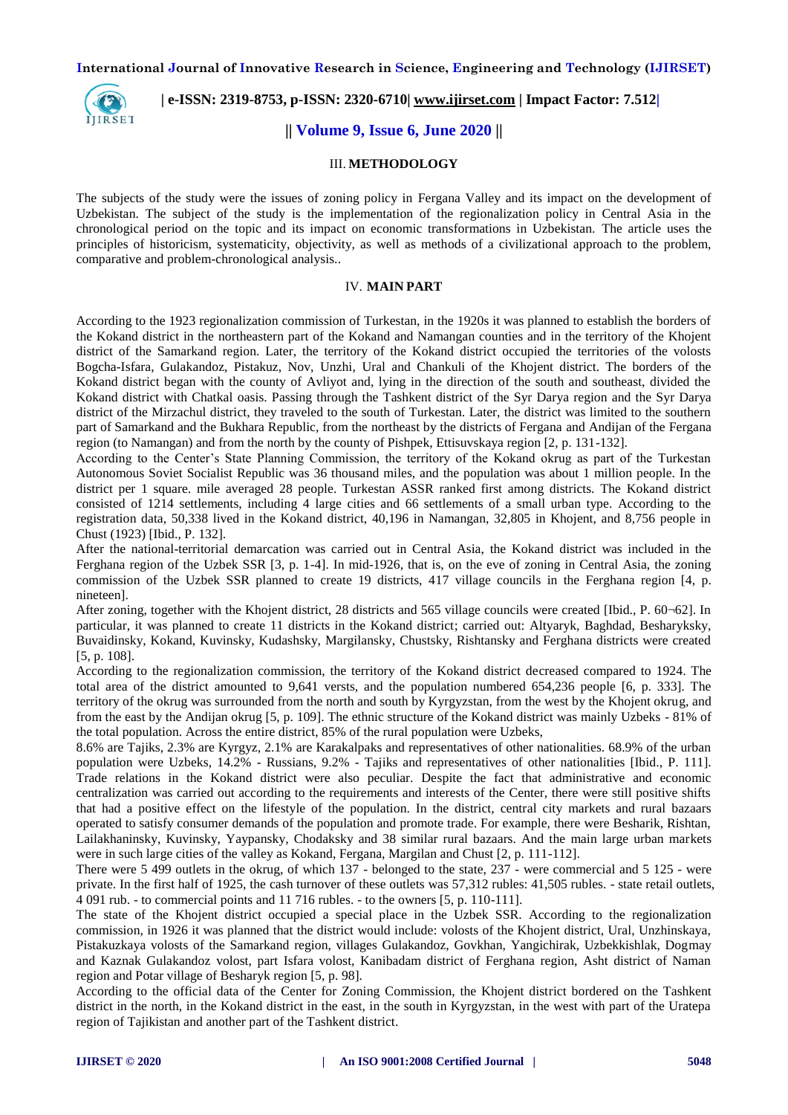**International Journal of Innovative Research in Science, Engineering and Technology (IJIRSET)**



 **| e-ISSN: 2319-8753, p-ISSN: 2320-6710| [www.ijirset.com](http://www.ijirset.com/) | Impact Factor: 7.512|**

## **|| Volume 9, Issue 6, June 2020 ||**

## III. **METHODOLOGY**

The subjects of the study were the issues of zoning policy in Fergana Valley and its impact on the development of Uzbekistan. The subject of the study is the implementation of the regionalization policy in Central Asia in the chronological period on the topic and its impact on economic transformations in Uzbekistan. The article uses the principles of historicism, systematicity, objectivity, as well as methods of a civilizational approach to the problem, comparative and problem-chronological analysis..

## IV. **MAIN PART**

According to the 1923 regionalization commission of Turkestan, in the 1920s it was planned to establish the borders of the Kokand district in the northeastern part of the Kokand and Namangan counties and in the territory of the Khojent district of the Samarkand region. Later, the territory of the Kokand district occupied the territories of the volosts Bogcha-Isfara, Gulakandoz, Pistakuz, Nov, Unzhi, Ural and Chankuli of the Khojent district. The borders of the Kokand district began with the county of Avliyot and, lying in the direction of the south and southeast, divided the Kokand district with Chatkal oasis. Passing through the Tashkent district of the Syr Darya region and the Syr Darya district of the Mirzachul district, they traveled to the south of Turkestan. Later, the district was limited to the southern part of Samarkand and the Bukhara Republic, from the northeast by the districts of Fergana and Andijan of the Fergana region (to Namangan) and from the north by the county of Pishpek, Ettisuvskaya region [2, p. 131-132].

According to the Center's State Planning Commission, the territory of the Kokand okrug as part of the Turkestan Autonomous Soviet Socialist Republic was 36 thousand miles, and the population was about 1 million people. In the district per 1 square. mile averaged 28 people. Turkestan ASSR ranked first among districts. The Kokand district consisted of 1214 settlements, including 4 large cities and 66 settlements of a small urban type. According to the registration data, 50,338 lived in the Kokand district, 40,196 in Namangan, 32,805 in Khojent, and 8,756 people in Chust (1923) [Ibid., P. 132].

After the national-territorial demarcation was carried out in Central Asia, the Kokand district was included in the Ferghana region of the Uzbek SSR [3, p. 1-4]. In mid-1926, that is, on the eve of zoning in Central Asia, the zoning commission of the Uzbek SSR planned to create 19 districts, 417 village councils in the Ferghana region [4, p. nineteen].

After zoning, together with the Khojent district, 28 districts and 565 village councils were created [Ibid., P. 60¬62]. In particular, it was planned to create 11 districts in the Kokand district; carried out: Altyaryk, Baghdad, Besharyksky, Buvaidinsky, Kokand, Kuvinsky, Kudashsky, Margilansky, Chustsky, Rishtansky and Ferghana districts were created [5, p. 108].

According to the regionalization commission, the territory of the Kokand district decreased compared to 1924. The total area of the district amounted to 9,641 versts, and the population numbered 654,236 people [6, p. 333]. The territory of the okrug was surrounded from the north and south by Kyrgyzstan, from the west by the Khojent okrug, and from the east by the Andijan okrug [5, p. 109]. The ethnic structure of the Kokand district was mainly Uzbeks - 81% of the total population. Across the entire district, 85% of the rural population were Uzbeks,

8.6% are Tajiks, 2.3% are Kyrgyz, 2.1% are Karakalpaks and representatives of other nationalities. 68.9% of the urban population were Uzbeks, 14.2% - Russians, 9.2% - Tajiks and representatives of other nationalities [Ibid., P. 111]. Trade relations in the Kokand district were also peculiar. Despite the fact that administrative and economic centralization was carried out according to the requirements and interests of the Center, there were still positive shifts that had a positive effect on the lifestyle of the population. In the district, central city markets and rural bazaars operated to satisfy consumer demands of the population and promote trade. For example, there were Besharik, Rishtan, Lailakhaninsky, Kuvinsky, Yaypansky, Chodaksky and 38 similar rural bazaars. And the main large urban markets were in such large cities of the valley as Kokand, Fergana, Margilan and Chust [2, p. 111-112].

There were 5 499 outlets in the okrug, of which 137 - belonged to the state, 237 - were commercial and 5 125 - were private. In the first half of 1925, the cash turnover of these outlets was 57,312 rubles: 41,505 rubles. - state retail outlets, 4 091 rub. - to commercial points and 11 716 rubles. - to the owners [5, p. 110-111].

The state of the Khojent district occupied a special place in the Uzbek SSR. According to the regionalization commission, in 1926 it was planned that the district would include: volosts of the Khojent district, Ural, Unzhinskaya, Pistakuzkaya volosts of the Samarkand region, villages Gulakandoz, Govkhan, Yangichirak, Uzbekkishlak, Dogmay and Kaznak Gulakandoz volost, part Isfara volost, Kanibadam district of Ferghana region, Asht district of Naman region and Potar village of Besharyk region [5, p. 98].

According to the official data of the Center for Zoning Commission, the Khojent district bordered on the Tashkent district in the north, in the Kokand district in the east, in the south in Kyrgyzstan, in the west with part of the Uratepa region of Tajikistan and another part of the Tashkent district.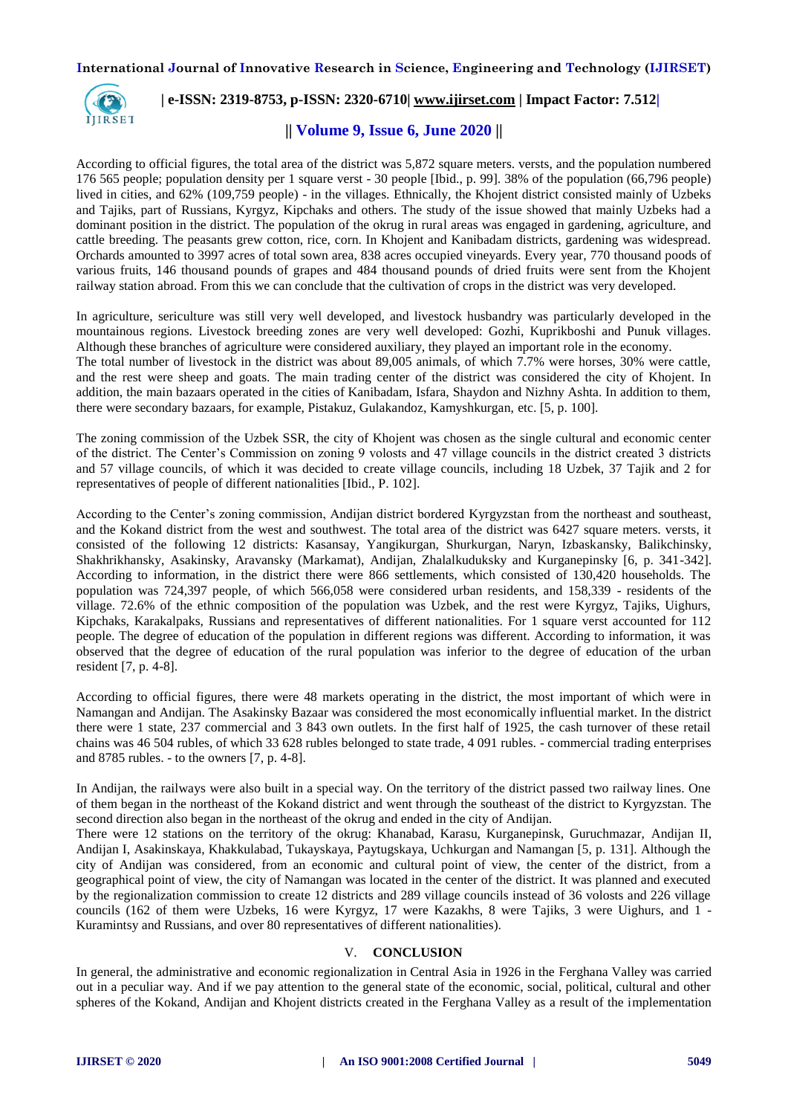**International Journal of Innovative Research in Science, Engineering and Technology (IJIRSET)**



## **| e-ISSN: 2319-8753, p-ISSN: 2320-6710| [www.ijirset.com](http://www.ijirset.com/) | Impact Factor: 7.512|**

## **|| Volume 9, Issue 6, June 2020 ||**

According to official figures, the total area of the district was 5,872 square meters. versts, and the population numbered 176 565 people; population density per 1 square verst - 30 people [Ibid., p. 99]. 38% of the population (66,796 people) lived in cities, and 62% (109,759 people) - in the villages. Ethnically, the Khojent district consisted mainly of Uzbeks and Tajiks, part of Russians, Kyrgyz, Kipchaks and others. The study of the issue showed that mainly Uzbeks had a dominant position in the district. The population of the okrug in rural areas was engaged in gardening, agriculture, and cattle breeding. The peasants grew cotton, rice, corn. In Khojent and Kanibadam districts, gardening was widespread. Orchards amounted to 3997 acres of total sown area, 838 acres occupied vineyards. Every year, 770 thousand poods of various fruits, 146 thousand pounds of grapes and 484 thousand pounds of dried fruits were sent from the Khojent railway station abroad. From this we can conclude that the cultivation of crops in the district was very developed.

In agriculture, sericulture was still very well developed, and livestock husbandry was particularly developed in the mountainous regions. Livestock breeding zones are very well developed: Gozhi, Kuprikboshi and Punuk villages. Although these branches of agriculture were considered auxiliary, they played an important role in the economy. The total number of livestock in the district was about 89,005 animals, of which 7.7% were horses, 30% were cattle, and the rest were sheep and goats. The main trading center of the district was considered the city of Khojent. In addition, the main bazaars operated in the cities of Kanibadam, Isfara, Shaydon and Nizhny Ashta. In addition to them, there were secondary bazaars, for example, Pistakuz, Gulakandoz, Kamyshkurgan, etc. [5, p. 100].

The zoning commission of the Uzbek SSR, the city of Khojent was chosen as the single cultural and economic center of the district. The Center's Commission on zoning 9 volosts and 47 village councils in the district created 3 districts and 57 village councils, of which it was decided to create village councils, including 18 Uzbek, 37 Tajik and 2 for representatives of people of different nationalities [Ibid., P. 102].

According to the Center's zoning commission, Andijan district bordered Kyrgyzstan from the northeast and southeast, and the Kokand district from the west and southwest. The total area of the district was 6427 square meters. versts, it consisted of the following 12 districts: Kasansay, Yangikurgan, Shurkurgan, Naryn, Izbaskansky, Balikchinsky, Shakhrikhansky, Asakinsky, Aravansky (Markamat), Andijan, Zhalalkuduksky and Kurganepinsky [6, p. 341-342]. According to information, in the district there were 866 settlements, which consisted of 130,420 households. The population was 724,397 people, of which 566,058 were considered urban residents, and 158,339 - residents of the village. 72.6% of the ethnic composition of the population was Uzbek, and the rest were Kyrgyz, Tajiks, Uighurs, Kipchaks, Karakalpaks, Russians and representatives of different nationalities. For 1 square verst accounted for 112 people. The degree of education of the population in different regions was different. According to information, it was observed that the degree of education of the rural population was inferior to the degree of education of the urban resident [7, p. 4-8].

According to official figures, there were 48 markets operating in the district, the most important of which were in Namangan and Andijan. The Asakinsky Bazaar was considered the most economically influential market. In the district there were 1 state, 237 commercial and 3 843 own outlets. In the first half of 1925, the cash turnover of these retail chains was 46 504 rubles, of which 33 628 rubles belonged to state trade, 4 091 rubles. - commercial trading enterprises and 8785 rubles. - to the owners [7, p. 4-8].

In Andijan, the railways were also built in a special way. On the territory of the district passed two railway lines. One of them began in the northeast of the Kokand district and went through the southeast of the district to Kyrgyzstan. The second direction also began in the northeast of the okrug and ended in the city of Andijan.

There were 12 stations on the territory of the okrug: Khanabad, Karasu, Kurganepinsk, Guruchmazar, Andijan II, Andijan I, Asakinskaya, Khakkulabad, Tukayskaya, Paytugskaya, Uchkurgan and Namangan [5, p. 131]. Although the city of Andijan was considered, from an economic and cultural point of view, the center of the district, from a geographical point of view, the city of Namangan was located in the center of the district. It was planned and executed by the regionalization commission to create 12 districts and 289 village councils instead of 36 volosts and 226 village councils (162 of them were Uzbeks, 16 were Kyrgyz, 17 were Kazakhs, 8 were Tajiks, 3 were Uighurs, and 1 - Kuramintsy and Russians, and over 80 representatives of different nationalities).

## V. **CONCLUSION**

In general, the administrative and economic regionalization in Central Asia in 1926 in the Ferghana Valley was carried out in a peculiar way. And if we pay attention to the general state of the economic, social, political, cultural and other spheres of the Kokand, Andijan and Khojent districts created in the Ferghana Valley as a result of the implementation